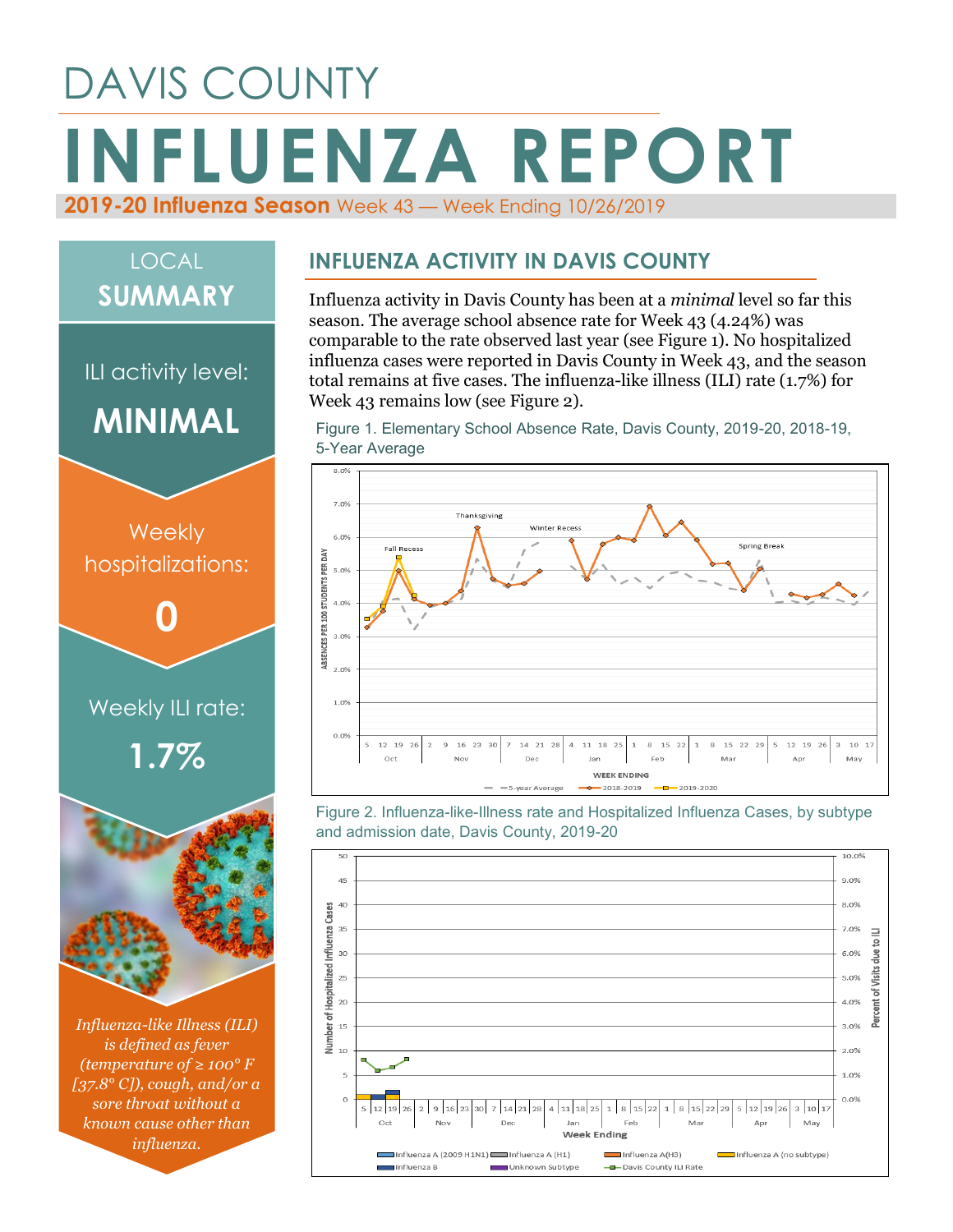# DAVIS COUNTY **INFLUENZA REPORT 2019-20 Influenza Season** Week 43 — Week Ending 10/26/2019

## LOCAL **SUMMARY**

ILI activity level:

**MINIMAL**



*Influenza-like Illness (ILI) is defined as fever (temperature of ≥ 100° F [37.8° C]), cough, and/or a sore throat without a known cause other than influenza.*

#### **INFLUENZA ACTIVITY IN DAVIS COUNTY**

Influenza activity in Davis County has been at a *minimal* level so far this season. The average school absence rate for Week 43 (4.24%) was comparable to the rate observed last year (see Figure 1). No hospitalized influenza cases were reported in Davis County in Week 43, and the season total remains at five cases. The influenza-like illness (ILI) rate (1.7%) for Week 43 remains low (see Figure 2).

Figure 1. Elementary School Absence Rate, Davis County, 2019-20, 2018-19, 5-Year Average



Figure 2. Influenza-like-Illness rate and Hospitalized Influenza Cases, by subtype and admission date, Davis County, 2019-20